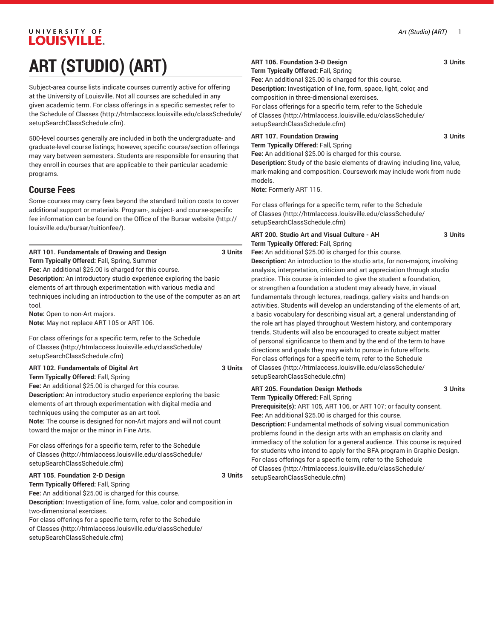# UNIVERSITY OF LOUISVILLE. **ART (STUDIO) (ART)**

Subject-area course lists indicate courses currently active for offering at the University of Louisville. Not all courses are scheduled in any given academic term. For class offerings in a specific semester, refer to the [Schedule of Classes](http://htmlaccess.louisville.edu/classSchedule/setupSearchClassSchedule.cfm) ([http://htmlaccess.louisville.edu/classSchedule/](http://htmlaccess.louisville.edu/classSchedule/setupSearchClassSchedule.cfm) [setupSearchClassSchedule.cfm\)](http://htmlaccess.louisville.edu/classSchedule/setupSearchClassSchedule.cfm).

500-level courses generally are included in both the undergraduate- and graduate-level course listings; however, specific course/section offerings may vary between semesters. Students are responsible for ensuring that they enroll in courses that are applicable to their particular academic programs.

### **Course Fees**

Some courses may carry fees beyond the standard tuition costs to cover additional support or materials. Program-, subject- and course-specific fee information can be found on the [Office of the Bursar website](http://louisville.edu/bursar/tuitionfee/) ([http://](http://louisville.edu/bursar/tuitionfee/) [louisville.edu/bursar/tuitionfee/](http://louisville.edu/bursar/tuitionfee/)).

| ART 101. Fundamentals of Drawing and Design | 3 Units |
|---------------------------------------------|---------|
|---------------------------------------------|---------|

**Term Typically Offered:** Fall, Spring, Summer **Fee:** An additional \$25.00 is charged for this course.

**Description:** An introductory studio experience exploring the basic elements of art through experimentation with various media and techniques including an introduction to the use of the computer as an art tool.

**Note:** Open to non-Art majors.

**Note:** May not replace ART 105 or ART 106.

For class offerings for a specific term, refer to the [Schedule](http://htmlaccess.louisville.edu/classSchedule/setupSearchClassSchedule.cfm) [of Classes \(http://htmlaccess.louisville.edu/classSchedule/](http://htmlaccess.louisville.edu/classSchedule/setupSearchClassSchedule.cfm) [setupSearchClassSchedule.cfm\)](http://htmlaccess.louisville.edu/classSchedule/setupSearchClassSchedule.cfm)

#### **ART 102. Fundamentals of Digital Art 3 Units**

**Term Typically Offered:** Fall, Spring **Fee:** An additional \$25.00 is charged for this course. **Description:** An introductory studio experience exploring the basic elements of art through experimentation with digital media and techniques using the computer as an art tool. **Note:** The course is designed for non-Art majors and will not count toward the major or the minor in Fine Arts.

For class offerings for a specific term, refer to the [Schedule](http://htmlaccess.louisville.edu/classSchedule/setupSearchClassSchedule.cfm) [of Classes \(http://htmlaccess.louisville.edu/classSchedule/](http://htmlaccess.louisville.edu/classSchedule/setupSearchClassSchedule.cfm) [setupSearchClassSchedule.cfm\)](http://htmlaccess.louisville.edu/classSchedule/setupSearchClassSchedule.cfm)

#### **ART 105. Foundation 2-D Design 3 Units Term Typically Offered:** Fall, Spring **Fee:** An additional \$25.00 is charged for this course. **Description:** Investigation of line, form, value, color and composition in

two-dimensional exercises. For class offerings for a specific term, refer to the [Schedule](http://htmlaccess.louisville.edu/classSchedule/setupSearchClassSchedule.cfm) [of Classes \(http://htmlaccess.louisville.edu/classSchedule/](http://htmlaccess.louisville.edu/classSchedule/setupSearchClassSchedule.cfm) [setupSearchClassSchedule.cfm\)](http://htmlaccess.louisville.edu/classSchedule/setupSearchClassSchedule.cfm)

### **ART 106. Foundation 3-D Design 3 Units**

**Term Typically Offered:** Fall, Spring

**Fee:** An additional \$25.00 is charged for this course. **Description:** Investigation of line, form, space, light, color, and composition in three-dimensional exercises.

For class offerings for a specific term, refer to the [Schedule](http://htmlaccess.louisville.edu/classSchedule/setupSearchClassSchedule.cfm) [of Classes](http://htmlaccess.louisville.edu/classSchedule/setupSearchClassSchedule.cfm) ([http://htmlaccess.louisville.edu/classSchedule/](http://htmlaccess.louisville.edu/classSchedule/setupSearchClassSchedule.cfm) [setupSearchClassSchedule.cfm\)](http://htmlaccess.louisville.edu/classSchedule/setupSearchClassSchedule.cfm)

**ART 107. Foundation Drawing 3 Units**

**Term Typically Offered:** Fall, Spring

**Fee:** An additional \$25.00 is charged for this course. **Description:** Study of the basic elements of drawing including line, value, mark-making and composition. Coursework may include work from nude models.

**Note:** Formerly ART 115.

For class offerings for a specific term, refer to the [Schedule](http://htmlaccess.louisville.edu/classSchedule/setupSearchClassSchedule.cfm) [of Classes](http://htmlaccess.louisville.edu/classSchedule/setupSearchClassSchedule.cfm) ([http://htmlaccess.louisville.edu/classSchedule/](http://htmlaccess.louisville.edu/classSchedule/setupSearchClassSchedule.cfm) [setupSearchClassSchedule.cfm\)](http://htmlaccess.louisville.edu/classSchedule/setupSearchClassSchedule.cfm)

#### **ART 200. Studio Art and Visual Culture - AH 3 Units Term Typically Offered:** Fall, Spring

**Fee:** An additional \$25.00 is charged for this course.

**Description:** An introduction to the studio arts, for non-majors, involving analysis, interpretation, criticism and art appreciation through studio practice. This course is intended to give the student a foundation, or strengthen a foundation a student may already have, in visual fundamentals through lectures, readings, gallery visits and hands-on activities. Students will develop an understanding of the elements of art, a basic vocabulary for describing visual art, a general understanding of the role art has played throughout Western history, and contemporary trends. Students will also be encouraged to create subject matter of personal significance to them and by the end of the term to have directions and goals they may wish to pursue in future efforts. For class offerings for a specific term, refer to the [Schedule](http://htmlaccess.louisville.edu/classSchedule/setupSearchClassSchedule.cfm) [of Classes](http://htmlaccess.louisville.edu/classSchedule/setupSearchClassSchedule.cfm) ([http://htmlaccess.louisville.edu/classSchedule/](http://htmlaccess.louisville.edu/classSchedule/setupSearchClassSchedule.cfm) [setupSearchClassSchedule.cfm\)](http://htmlaccess.louisville.edu/classSchedule/setupSearchClassSchedule.cfm)

#### **ART 205. Foundation Design Methods 3 Units Term Typically Offered:** Fall, Spring **Prerequisite(s):** ART 105, ART 106, or ART 107; or faculty consent. **Fee:** An additional \$25.00 is charged for this course.

**Description:** Fundamental methods of solving visual communication problems found in the design arts with an emphasis on clarity and immediacy of the solution for a general audience. This course is required for students who intend to apply for the BFA program in Graphic Design. For class offerings for a specific term, refer to the [Schedule](http://htmlaccess.louisville.edu/classSchedule/setupSearchClassSchedule.cfm) [of Classes](http://htmlaccess.louisville.edu/classSchedule/setupSearchClassSchedule.cfm) ([http://htmlaccess.louisville.edu/classSchedule/](http://htmlaccess.louisville.edu/classSchedule/setupSearchClassSchedule.cfm) [setupSearchClassSchedule.cfm\)](http://htmlaccess.louisville.edu/classSchedule/setupSearchClassSchedule.cfm)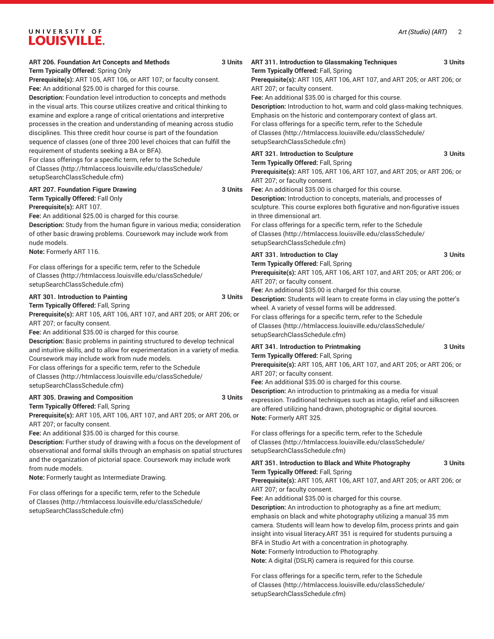| ART 206. Foundation Art Concepts and Methods<br>Term Typically Offered: Spring Only                                                                                                                                                                                                                                                                                                                                                                                                                             | 3 Units | ART 311. Introduction to Glassmaking Techniques<br>Term Typically Offered: Fall, Spring                                                                                                                                                                                                                                                                                                                                                                                                                                                                        | 3 Units |
|-----------------------------------------------------------------------------------------------------------------------------------------------------------------------------------------------------------------------------------------------------------------------------------------------------------------------------------------------------------------------------------------------------------------------------------------------------------------------------------------------------------------|---------|----------------------------------------------------------------------------------------------------------------------------------------------------------------------------------------------------------------------------------------------------------------------------------------------------------------------------------------------------------------------------------------------------------------------------------------------------------------------------------------------------------------------------------------------------------------|---------|
| Prerequisite(s): ART 105, ART 106, or ART 107; or faculty consent.                                                                                                                                                                                                                                                                                                                                                                                                                                              |         | Prerequisite(s): ART 105, ART 106, ART 107, and ART 205; or ART 206; or                                                                                                                                                                                                                                                                                                                                                                                                                                                                                        |         |
| Fee: An additional \$25.00 is charged for this course.<br>Description: Foundation level introduction to concepts and methods<br>in the visual arts. This course utilizes creative and critical thinking to<br>examine and explore a range of critical orientations and interpretive<br>processes in the creation and understanding of meaning across studio<br>disciplines. This three credit hour course is part of the foundation<br>sequence of classes (one of three 200 level choices that can fulfill the |         | ART 207; or faculty consent.<br>Fee: An additional \$35.00 is charged for this course.<br>Description: Introduction to hot, warm and cold glass-making techniques.<br>Emphasis on the historic and contemporary context of glass art.<br>For class offerings for a specific term, refer to the Schedule<br>of Classes (http://htmlaccess.louisville.edu/classSchedule/<br>setupSearchClassSchedule.cfm)                                                                                                                                                        |         |
| requirement of students seeking a BA or BFA).<br>For class offerings for a specific term, refer to the Schedule<br>of Classes (http://htmlaccess.louisville.edu/classSchedule/<br>setupSearchClassSchedule.cfm)                                                                                                                                                                                                                                                                                                 |         | ART 321. Introduction to Sculpture<br>Term Typically Offered: Fall, Spring<br>Prerequisite(s): ART 105, ART 106, ART 107, and ART 205; or ART 206; or<br>ART 207; or faculty consent.                                                                                                                                                                                                                                                                                                                                                                          | 3 Units |
| <b>ART 207. Foundation Figure Drawing</b><br>Term Typically Offered: Fall Only<br>Prerequisite(s): ART 107.<br>Fee: An additional \$25.00 is charged for this course.<br>Description: Study from the human figure in various media; consideration<br>of other basic drawing problems. Coursework may include work from<br>nude models.                                                                                                                                                                          | 3 Units | Fee: An additional \$35.00 is charged for this course.<br>Description: Introduction to concepts, materials, and processes of<br>sculpture. This course explores both figurative and non-figurative issues<br>in three dimensional art.<br>For class offerings for a specific term, refer to the Schedule<br>of Classes (http://htmlaccess.louisville.edu/classSchedule/<br>setupSearchClassSchedule.cfm)                                                                                                                                                       |         |
| Note: Formerly ART 116.                                                                                                                                                                                                                                                                                                                                                                                                                                                                                         |         | ART 331. Introduction to Clay                                                                                                                                                                                                                                                                                                                                                                                                                                                                                                                                  | 3 Units |
| For class offerings for a specific term, refer to the Schedule<br>of Classes (http://htmlaccess.louisville.edu/classSchedule/<br>setupSearchClassSchedule.cfm)                                                                                                                                                                                                                                                                                                                                                  |         | Term Typically Offered: Fall, Spring<br>Prerequisite(s): ART 105, ART 106, ART 107, and ART 205; or ART 206; or<br>ART 207; or faculty consent.<br>Fee: An additional \$35.00 is charged for this course.                                                                                                                                                                                                                                                                                                                                                      |         |
| ART 301. Introduction to Painting<br>Term Typically Offered: Fall, Spring<br>Prerequisite(s): ART 105, ART 106, ART 107, and ART 205; or ART 206; or<br>ART 207; or faculty consent.<br>Fee: An additional \$35.00 is charged for this course.<br>Description: Basic problems in painting structured to develop technical                                                                                                                                                                                       | 3 Units | Description: Students will learn to create forms in clay using the potter's<br>wheel. A variety of vessel forms will be addressed.<br>For class offerings for a specific term, refer to the Schedule<br>of Classes (http://htmlaccess.louisville.edu/classSchedule/<br>setupSearchClassSchedule.cfm)                                                                                                                                                                                                                                                           |         |
| and intuitive skills, and to allow for experimentation in a variety of media.<br>Coursework may include work from nude models.<br>For class offerings for a specific term, refer to the Schedule<br>of Classes (http://htmlaccess.louisville.edu/classSchedule/<br>setupSearchClassSchedule.cfm)                                                                                                                                                                                                                |         | ART 341. Introduction to Printmaking<br>Term Typically Offered: Fall, Spring<br>Prerequisite(s): ART 105, ART 106, ART 107, and ART 205; or ART 206; or<br>ART 207; or faculty consent.<br>Fee: An additional \$35.00 is charged for this course.                                                                                                                                                                                                                                                                                                              | 3 Units |
| ART 305. Drawing and Composition<br>Term Typically Offered: Fall, Spring<br>Prerequisite(s): ART 105, ART 106, ART 107, and ART 205; or ART 206, or<br>ART 207; or faculty consent.                                                                                                                                                                                                                                                                                                                             | 3 Units | Description: An introduction to printmaking as a media for visual<br>expression. Traditional techniques such as intaglio, relief and silkscreen<br>are offered utilizing hand-drawn, photographic or digital sources.<br>Note: Formerly ART 325.                                                                                                                                                                                                                                                                                                               |         |
| Fee: An additional \$35.00 is charged for this course.<br>Description: Further study of drawing with a focus on the development of<br>observational and formal skills through an emphasis on spatial structures                                                                                                                                                                                                                                                                                                 |         | For class offerings for a specific term, refer to the Schedule<br>of Classes (http://htmlaccess.louisville.edu/classSchedule/<br>setupSearchClassSchedule.cfm)                                                                                                                                                                                                                                                                                                                                                                                                 |         |
| and the organization of pictorial space. Coursework may include work<br>from nude models.                                                                                                                                                                                                                                                                                                                                                                                                                       |         | ART 351. Introduction to Black and White Photography                                                                                                                                                                                                                                                                                                                                                                                                                                                                                                           | 3 Units |
| Note: Formerly taught as Intermediate Drawing.                                                                                                                                                                                                                                                                                                                                                                                                                                                                  |         | Term Typically Offered: Fall, Spring<br>Prerequisite(s): ART 105, ART 106, ART 107, and ART 205; or ART 206; or                                                                                                                                                                                                                                                                                                                                                                                                                                                |         |
| For class offerings for a specific term, refer to the Schedule<br>of Classes (http://htmlaccess.louisville.edu/classSchedule/<br>setupSearchClassSchedule.cfm)                                                                                                                                                                                                                                                                                                                                                  |         | ART 207; or faculty consent.<br>Fee: An additional \$35.00 is charged for this course.<br>Description: An introduction to photography as a fine art medium;<br>emphasis on black and white photography utilizing a manual 35 mm<br>camera. Students will learn how to develop film, process prints and gain<br>insight into visual literacy.ART 351 is required for students pursuing a<br>BFA in Studio Art with a concentration in photography.<br>Note: Formerly Introduction to Photography.<br>Note: A digital (DSLR) camera is required for this course. |         |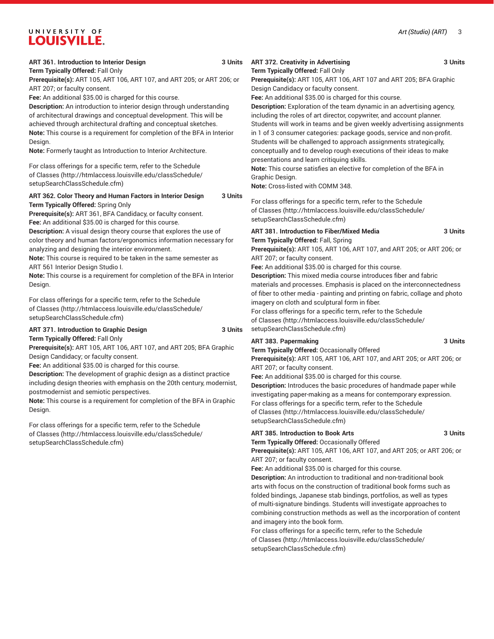#### *Art (Studio) (ART)* 3

# UNIVERSITY OF **LOUISVILLE.**

#### **ART 361. Introduction to Interior Design 3 Units**

**Term Typically Offered:** Fall Only

**Prerequisite(s):** ART 105, ART 106, ART 107, and ART 205; or ART 206; or ART 207; or faculty consent.

**Fee:** An additional \$35.00 is charged for this course.

**Description:** An introduction to interior design through understanding of architectural drawings and conceptual development. This will be achieved through architectural drafting and conceptual sketches. **Note:** This course is a requirement for completion of the BFA in Interior Design.

**Note:** Formerly taught as Introduction to Interior Architecture.

For class offerings for a specific term, refer to the [Schedule](http://htmlaccess.louisville.edu/classSchedule/setupSearchClassSchedule.cfm) [of Classes \(http://htmlaccess.louisville.edu/classSchedule/](http://htmlaccess.louisville.edu/classSchedule/setupSearchClassSchedule.cfm) [setupSearchClassSchedule.cfm\)](http://htmlaccess.louisville.edu/classSchedule/setupSearchClassSchedule.cfm)

#### **ART 362. Color Theory and Human Factors in Interior Design 3 Units Term Typically Offered:** Spring Only

**Prerequisite(s):** ART 361, BFA Candidacy, or faculty consent. **Fee:** An additional \$35.00 is charged for this course.

**Description:** A visual design theory course that explores the use of color theory and human factors/ergonomics information necessary for analyzing and designing the interior environment.

**Note:** This course is required to be taken in the same semester as ART 561 Interior Design Studio I.

**Note:** This course is a requirement for completion of the BFA in Interior Design.

For class offerings for a specific term, refer to the [Schedule](http://htmlaccess.louisville.edu/classSchedule/setupSearchClassSchedule.cfm) [of Classes \(http://htmlaccess.louisville.edu/classSchedule/](http://htmlaccess.louisville.edu/classSchedule/setupSearchClassSchedule.cfm) [setupSearchClassSchedule.cfm\)](http://htmlaccess.louisville.edu/classSchedule/setupSearchClassSchedule.cfm)

# **ART 371. Introduction to Graphic Design 3 Units**

**Term Typically Offered:** Fall Only

**Prerequisite(s):** ART 105, ART 106, ART 107, and ART 205; BFA Graphic Design Candidacy; or faculty consent.

**Fee:** An additional \$35.00 is charged for this course.

**Description:** The development of graphic design as a distinct practice including design theories with emphasis on the 20th century, modernist, postmodernist and semiotic perspectives.

**Note:** This course is a requirement for completion of the BFA in Graphic Design.

For class offerings for a specific term, refer to the [Schedule](http://htmlaccess.louisville.edu/classSchedule/setupSearchClassSchedule.cfm) [of Classes \(http://htmlaccess.louisville.edu/classSchedule/](http://htmlaccess.louisville.edu/classSchedule/setupSearchClassSchedule.cfm) [setupSearchClassSchedule.cfm\)](http://htmlaccess.louisville.edu/classSchedule/setupSearchClassSchedule.cfm)

**Term Typically Offered:** Fall Only **Prerequisite(s):** ART 105, ART 106, ART 107 and ART 205; BFA Graphic Design Candidacy or faculty consent.

**Fee:** An additional \$35.00 is charged for this course. **Description:** Exploration of the team dynamic in an advertising agency, including the roles of art director, copywriter, and account planner. Students will work in teams and be given weekly advertising assignments in 1 of 3 consumer categories: package goods, service and non-profit. Students will be challenged to approach assignments strategically,

conceptually and to develop rough executions of their ideas to make presentations and learn critiquing skills.

**Note:** This course satisfies an elective for completion of the BFA in Graphic Design.

**Note:** Cross-listed with COMM 348.

For class offerings for a specific term, refer to the [Schedule](http://htmlaccess.louisville.edu/classSchedule/setupSearchClassSchedule.cfm) [of Classes](http://htmlaccess.louisville.edu/classSchedule/setupSearchClassSchedule.cfm) ([http://htmlaccess.louisville.edu/classSchedule/](http://htmlaccess.louisville.edu/classSchedule/setupSearchClassSchedule.cfm) [setupSearchClassSchedule.cfm\)](http://htmlaccess.louisville.edu/classSchedule/setupSearchClassSchedule.cfm)

#### **ART 381. Introduction to Fiber/Mixed Media 3 Units Term Typically Offered:** Fall, Spring

**Prerequisite(s):** ART 105, ART 106, ART 107, and ART 205; or ART 206; or ART 207; or faculty consent.

**Fee:** An additional \$35.00 is charged for this course.

**Description:** This mixed media course introduces fiber and fabric materials and processes. Emphasis is placed on the interconnectedness of fiber to other media - painting and printing on fabric, collage and photo imagery on cloth and sculptural form in fiber.

For class offerings for a specific term, refer to the [Schedule](http://htmlaccess.louisville.edu/classSchedule/setupSearchClassSchedule.cfm) [of Classes](http://htmlaccess.louisville.edu/classSchedule/setupSearchClassSchedule.cfm) ([http://htmlaccess.louisville.edu/classSchedule/](http://htmlaccess.louisville.edu/classSchedule/setupSearchClassSchedule.cfm) [setupSearchClassSchedule.cfm\)](http://htmlaccess.louisville.edu/classSchedule/setupSearchClassSchedule.cfm)

#### **ART 383. Papermaking 3 Units**

**Term Typically Offered:** Occasionally Offered

**Prerequisite(s):** ART 105, ART 106, ART 107, and ART 205; or ART 206; or ART 207; or faculty consent.

**Fee:** An additional \$35.00 is charged for this course.

**Description:** Introduces the basic procedures of handmade paper while investigating paper-making as a means for contemporary expression. For class offerings for a specific term, refer to the [Schedule](http://htmlaccess.louisville.edu/classSchedule/setupSearchClassSchedule.cfm) [of Classes](http://htmlaccess.louisville.edu/classSchedule/setupSearchClassSchedule.cfm) ([http://htmlaccess.louisville.edu/classSchedule/](http://htmlaccess.louisville.edu/classSchedule/setupSearchClassSchedule.cfm) [setupSearchClassSchedule.cfm\)](http://htmlaccess.louisville.edu/classSchedule/setupSearchClassSchedule.cfm)

#### **ART 385. Introduction to Book Arts 3 Units**

**Term Typically Offered:** Occasionally Offered

**Prerequisite(s):** ART 105, ART 106, ART 107, and ART 205; or ART 206; or ART 207; or faculty consent.

**Fee:** An additional \$35.00 is charged for this course.

**Description:** An introduction to traditional and non-traditional book arts with focus on the construction of traditional book forms such as folded bindings, Japanese stab bindings, portfolios, as well as types of multi-signature bindings. Students will investigate approaches to combining construction methods as well as the incorporation of content and imagery into the book form.

For class offerings for a specific term, refer to the [Schedule](http://htmlaccess.louisville.edu/classSchedule/setupSearchClassSchedule.cfm) [of Classes](http://htmlaccess.louisville.edu/classSchedule/setupSearchClassSchedule.cfm) ([http://htmlaccess.louisville.edu/classSchedule/](http://htmlaccess.louisville.edu/classSchedule/setupSearchClassSchedule.cfm) [setupSearchClassSchedule.cfm\)](http://htmlaccess.louisville.edu/classSchedule/setupSearchClassSchedule.cfm)

**ART 372. Creativity in Advertising 3 Units**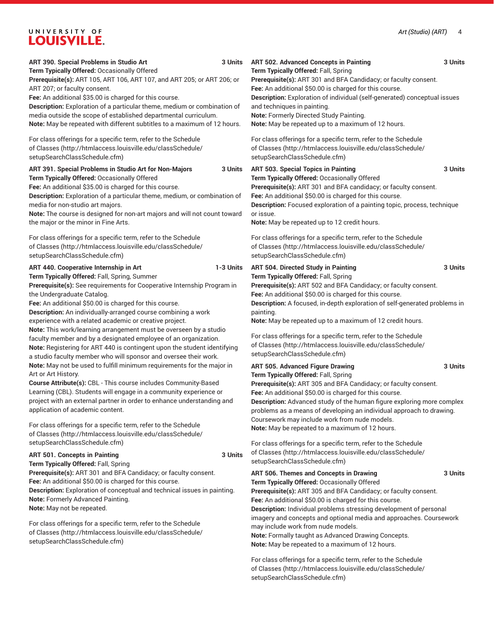| ART 390. Special Problems in Studio Art                                                                                                                                                                                                                                                                                                                                                                                                                                                                                                                                                                                                                                                    | <b>ART 502. Advanced Concepts in Painting</b>                                                                                                                                                                                                                                                                                                                                                                                                                                                                                                 |
|--------------------------------------------------------------------------------------------------------------------------------------------------------------------------------------------------------------------------------------------------------------------------------------------------------------------------------------------------------------------------------------------------------------------------------------------------------------------------------------------------------------------------------------------------------------------------------------------------------------------------------------------------------------------------------------------|-----------------------------------------------------------------------------------------------------------------------------------------------------------------------------------------------------------------------------------------------------------------------------------------------------------------------------------------------------------------------------------------------------------------------------------------------------------------------------------------------------------------------------------------------|
| 3 Units                                                                                                                                                                                                                                                                                                                                                                                                                                                                                                                                                                                                                                                                                    | 3 Units                                                                                                                                                                                                                                                                                                                                                                                                                                                                                                                                       |
| Term Typically Offered: Occasionally Offered                                                                                                                                                                                                                                                                                                                                                                                                                                                                                                                                                                                                                                               | Term Typically Offered: Fall, Spring                                                                                                                                                                                                                                                                                                                                                                                                                                                                                                          |
| Prerequisite(s): ART 105, ART 106, ART 107, and ART 205; or ART 206; or                                                                                                                                                                                                                                                                                                                                                                                                                                                                                                                                                                                                                    | Prerequisite(s): ART 301 and BFA Candidacy; or faculty consent.                                                                                                                                                                                                                                                                                                                                                                                                                                                                               |
| ART 207; or faculty consent.                                                                                                                                                                                                                                                                                                                                                                                                                                                                                                                                                                                                                                                               | Fee: An additional \$50.00 is charged for this course.                                                                                                                                                                                                                                                                                                                                                                                                                                                                                        |
| Fee: An additional \$35.00 is charged for this course.                                                                                                                                                                                                                                                                                                                                                                                                                                                                                                                                                                                                                                     | Description: Exploration of individual (self-generated) conceptual issues                                                                                                                                                                                                                                                                                                                                                                                                                                                                     |
| Description: Exploration of a particular theme, medium or combination of                                                                                                                                                                                                                                                                                                                                                                                                                                                                                                                                                                                                                   | and techniques in painting.                                                                                                                                                                                                                                                                                                                                                                                                                                                                                                                   |
| media outside the scope of established departmental curriculum.                                                                                                                                                                                                                                                                                                                                                                                                                                                                                                                                                                                                                            | Note: Formerly Directed Study Painting.                                                                                                                                                                                                                                                                                                                                                                                                                                                                                                       |
| Note: May be repeated with different subtitles to a maximum of 12 hours.                                                                                                                                                                                                                                                                                                                                                                                                                                                                                                                                                                                                                   | Note: May be repeated up to a maximum of 12 hours.                                                                                                                                                                                                                                                                                                                                                                                                                                                                                            |
| For class offerings for a specific term, refer to the Schedule                                                                                                                                                                                                                                                                                                                                                                                                                                                                                                                                                                                                                             | For class offerings for a specific term, refer to the Schedule                                                                                                                                                                                                                                                                                                                                                                                                                                                                                |
| of Classes (http://htmlaccess.louisville.edu/classSchedule/                                                                                                                                                                                                                                                                                                                                                                                                                                                                                                                                                                                                                                | of Classes (http://htmlaccess.louisville.edu/classSchedule/                                                                                                                                                                                                                                                                                                                                                                                                                                                                                   |
| setupSearchClassSchedule.cfm)                                                                                                                                                                                                                                                                                                                                                                                                                                                                                                                                                                                                                                                              | setupSearchClassSchedule.cfm)                                                                                                                                                                                                                                                                                                                                                                                                                                                                                                                 |
| ART 391. Special Problems in Studio Art for Non-Majors                                                                                                                                                                                                                                                                                                                                                                                                                                                                                                                                                                                                                                     | <b>ART 503. Special Topics in Painting</b>                                                                                                                                                                                                                                                                                                                                                                                                                                                                                                    |
| 3 Units                                                                                                                                                                                                                                                                                                                                                                                                                                                                                                                                                                                                                                                                                    | 3 Units                                                                                                                                                                                                                                                                                                                                                                                                                                                                                                                                       |
| Term Typically Offered: Occasionally Offered                                                                                                                                                                                                                                                                                                                                                                                                                                                                                                                                                                                                                                               | Term Typically Offered: Occasionally Offered                                                                                                                                                                                                                                                                                                                                                                                                                                                                                                  |
| Fee: An additional \$35.00 is charged for this course.                                                                                                                                                                                                                                                                                                                                                                                                                                                                                                                                                                                                                                     | Prerequisite(s): ART 301 and BFA candidacy; or faculty consent.                                                                                                                                                                                                                                                                                                                                                                                                                                                                               |
| Description: Exploration of a particular theme, medium, or combination of                                                                                                                                                                                                                                                                                                                                                                                                                                                                                                                                                                                                                  | Fee: An additional \$50.00 is charged for this course.                                                                                                                                                                                                                                                                                                                                                                                                                                                                                        |
| media for non-studio art majors.                                                                                                                                                                                                                                                                                                                                                                                                                                                                                                                                                                                                                                                           | Description: Focused exploration of a painting topic, process, technique                                                                                                                                                                                                                                                                                                                                                                                                                                                                      |
| Note: The course is designed for non-art majors and will not count toward                                                                                                                                                                                                                                                                                                                                                                                                                                                                                                                                                                                                                  | or issue.                                                                                                                                                                                                                                                                                                                                                                                                                                                                                                                                     |
| the major or the minor in Fine Arts.                                                                                                                                                                                                                                                                                                                                                                                                                                                                                                                                                                                                                                                       | Note: May be repeated up to 12 credit hours.                                                                                                                                                                                                                                                                                                                                                                                                                                                                                                  |
| For class offerings for a specific term, refer to the Schedule                                                                                                                                                                                                                                                                                                                                                                                                                                                                                                                                                                                                                             | For class offerings for a specific term, refer to the Schedule                                                                                                                                                                                                                                                                                                                                                                                                                                                                                |
| of Classes (http://htmlaccess.louisville.edu/classSchedule/                                                                                                                                                                                                                                                                                                                                                                                                                                                                                                                                                                                                                                | of Classes (http://htmlaccess.louisville.edu/classSchedule/                                                                                                                                                                                                                                                                                                                                                                                                                                                                                   |
| setupSearchClassSchedule.cfm)                                                                                                                                                                                                                                                                                                                                                                                                                                                                                                                                                                                                                                                              | setupSearchClassSchedule.cfm)                                                                                                                                                                                                                                                                                                                                                                                                                                                                                                                 |
| ART 440. Cooperative Internship in Art<br>1-3 Units<br>Term Typically Offered: Fall, Spring, Summer<br>Prerequisite(s): See requirements for Cooperative Internship Program in<br>the Undergraduate Catalog.<br>Fee: An additional \$50.00 is charged for this course.<br>Description: An individually-arranged course combining a work<br>experience with a related academic or creative project.<br>Note: This work/learning arrangement must be overseen by a studio<br>faculty member and by a designated employee of an organization.<br>Note: Registering for ART 440 is contingent upon the student identifying<br>a studio faculty member who will sponsor and oversee their work. | ART 504. Directed Study in Painting<br>3 Units<br>Term Typically Offered: Fall, Spring<br>Prerequisite(s): ART 502 and BFA Candidacy; or faculty consent.<br>Fee: An additional \$50.00 is charged for this course.<br>Description: A focused, in-depth exploration of self-generated problems in<br>painting.<br>Note: May be repeated up to a maximum of 12 credit hours.<br>For class offerings for a specific term, refer to the Schedule<br>of Classes (http://htmlaccess.louisville.edu/classSchedule/<br>setupSearchClassSchedule.cfm) |
| Note: May not be used to fulfill minimum requirements for the major in<br>Art or Art History.<br>Course Attribute(s): CBL - This course includes Community-Based<br>Learning (CBL). Students will engage in a community experience or<br>project with an external partner in order to enhance understanding and<br>application of academic content.                                                                                                                                                                                                                                                                                                                                        | ART 505. Advanced Figure Drawing<br>3 Units<br>Term Typically Offered: Fall, Spring<br>Prerequisite(s): ART 305 and BFA Candidacy; or faculty consent.<br>Fee: An additional \$50.00 is charged for this course.<br>Description: Advanced study of the human figure exploring more complex<br>problems as a means of developing an individual approach to drawing.                                                                                                                                                                            |
| For class offerings for a specific term, refer to the Schedule                                                                                                                                                                                                                                                                                                                                                                                                                                                                                                                                                                                                                             | Coursework may include work from nude models.                                                                                                                                                                                                                                                                                                                                                                                                                                                                                                 |
| of Classes (http://htmlaccess.louisville.edu/classSchedule/                                                                                                                                                                                                                                                                                                                                                                                                                                                                                                                                                                                                                                | Note: May be repeated to a maximum of 12 hours.                                                                                                                                                                                                                                                                                                                                                                                                                                                                                               |
| setupSearchClassSchedule.cfm)                                                                                                                                                                                                                                                                                                                                                                                                                                                                                                                                                                                                                                                              | For class offerings for a specific term, refer to the Schedule                                                                                                                                                                                                                                                                                                                                                                                                                                                                                |
| <b>ART 501. Concepts in Painting</b><br>3 Units<br>Term Typically Offered: Fall, Spring                                                                                                                                                                                                                                                                                                                                                                                                                                                                                                                                                                                                    | of Classes (http://htmlaccess.louisville.edu/classSchedule/<br>setupSearchClassSchedule.cfm)                                                                                                                                                                                                                                                                                                                                                                                                                                                  |
| Prerequisite(s): ART 301 and BFA Candidacy; or faculty consent.<br>Fee: An additional \$50.00 is charged for this course.<br>Description: Exploration of conceptual and technical issues in painting.<br>Note: Formerly Advanced Painting.<br>Note: May not be repeated.                                                                                                                                                                                                                                                                                                                                                                                                                   | ART 506. Themes and Concepts in Drawing<br>3 Units<br>Term Typically Offered: Occasionally Offered<br>Prerequisite(s): ART 305 and BFA Candidacy; or faculty consent.<br>Fee: An additional \$50.00 is charged for this course.<br>Description: Individual problems stressing development of personal<br>imagery and concepts and optional media and approaches. Coursework                                                                                                                                                                   |
| For class offerings for a specific term, refer to the Schedule                                                                                                                                                                                                                                                                                                                                                                                                                                                                                                                                                                                                                             | may include work from nude models.                                                                                                                                                                                                                                                                                                                                                                                                                                                                                                            |
| of Classes (http://htmlaccess.louisville.edu/classSchedule/                                                                                                                                                                                                                                                                                                                                                                                                                                                                                                                                                                                                                                | Note: Formally taught as Advanced Drawing Concepts.                                                                                                                                                                                                                                                                                                                                                                                                                                                                                           |
| setupSearchClassSchedule.cfm)                                                                                                                                                                                                                                                                                                                                                                                                                                                                                                                                                                                                                                                              | Note: May be repeated to a maximum of 12 hours                                                                                                                                                                                                                                                                                                                                                                                                                                                                                                |

#### **ART 506. Themes and Concepts in Drawing 3 Units**

**Anced Drawing Concepts. Note:** May be repeated to a maximum of 12 hours.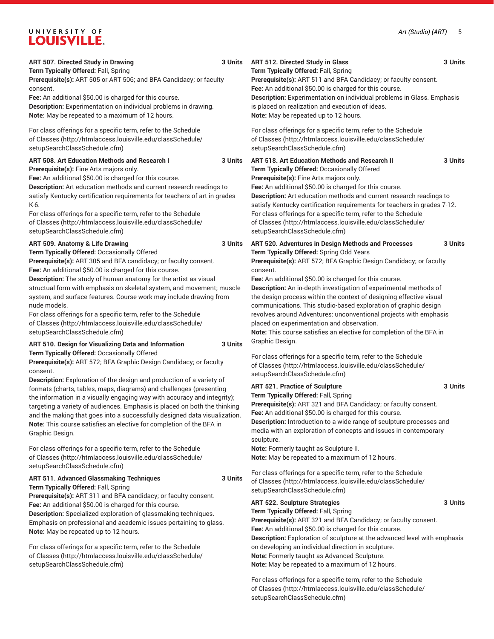| ART 507. Directed Study in Drawing<br>Term Typically Offered: Fall, Spring<br>Prerequisite(s): ART 505 or ART 506; and BFA Candidacy; or faculty<br>consent.<br>Fee: An additional \$50.00 is charged for this course.<br>Description: Experimentation on individual problems in drawing.<br>Note: May be repeated to a maximum of 12 hours.                                                                                                                                                                                                                                                                      | 3 Units | ART 512. Directed Study in Glass<br>Term Typically Offered: Fall, Spring<br>Prerequisite(s): ART 511 and BFA Candidacy; or faculty consent.<br>Fee: An additional \$50.00 is charged for this course.<br><b>Description:</b> Experimentation on individual problems in Glass. Emphasis<br>is placed on realization and execution of ideas.<br>Note: May be repeated up to 12 hours.                                                                                                                                                                                                                                                                   | 3 Units |
|-------------------------------------------------------------------------------------------------------------------------------------------------------------------------------------------------------------------------------------------------------------------------------------------------------------------------------------------------------------------------------------------------------------------------------------------------------------------------------------------------------------------------------------------------------------------------------------------------------------------|---------|-------------------------------------------------------------------------------------------------------------------------------------------------------------------------------------------------------------------------------------------------------------------------------------------------------------------------------------------------------------------------------------------------------------------------------------------------------------------------------------------------------------------------------------------------------------------------------------------------------------------------------------------------------|---------|
| For class offerings for a specific term, refer to the Schedule<br>of Classes (http://htmlaccess.louisville.edu/classSchedule/<br>setupSearchClassSchedule.cfm)                                                                                                                                                                                                                                                                                                                                                                                                                                                    |         | For class offerings for a specific term, refer to the Schedule<br>of Classes (http://htmlaccess.louisville.edu/classSchedule/<br>setupSearchClassSchedule.cfm)                                                                                                                                                                                                                                                                                                                                                                                                                                                                                        |         |
| ART 508. Art Education Methods and Research I<br>Prerequisite(s): Fine Arts majors only.<br>Fee: An additional \$50.00 is charged for this course.<br>Description: Art education methods and current research readings to<br>satisfy Kentucky certification requirements for teachers of art in grades<br>K-6.<br>For class offerings for a specific term, refer to the Schedule<br>of Classes (http://htmlaccess.louisville.edu/classSchedule/<br>setupSearchClassSchedule.cfm)                                                                                                                                  | 3 Units | ART 518. Art Education Methods and Research II<br>Term Typically Offered: Occasionally Offered<br>Prerequisite(s): Fine Arts majors only.<br>Fee: An additional \$50.00 is charged for this course.<br>Description: Art education methods and current research readings to<br>satisfy Kentucky certification requirements for teachers in grades 7-12.<br>For class offerings for a specific term, refer to the Schedule<br>of Classes (http://htmlaccess.louisville.edu/classSchedule/<br>setupSearchClassSchedule.cfm)                                                                                                                              | 3 Units |
| ART 509. Anatomy & Life Drawing<br>Term Typically Offered: Occasionally Offered<br>Prerequisite(s): ART 305 and BFA candidacy; or faculty consent.<br>Fee: An additional \$50.00 is charged for this course.<br>Description: The study of human anatomy for the artist as visual<br>structual form with emphasis on skeletal system, and movement; muscle<br>system, and surface features. Course work may include drawing from<br>nude models.<br>For class offerings for a specific term, refer to the Schedule<br>of Classes (http://htmlaccess.louisville.edu/classSchedule/<br>setupSearchClassSchedule.cfm) | 3 Units | ART 520. Adventures in Design Methods and Processes<br>Term Typically Offered: Spring Odd Years<br>Prerequisite(s): ART 572; BFA Graphic Design Candidacy; or faculty<br>consent.<br>Fee: An additional \$50.00 is charged for this course.<br>Description: An in-depth investigation of experimental methods of<br>the design process within the context of designing effective visual<br>communications. This studio-based exploration of graphic design<br>revolves around Adventures: unconventional projects with emphasis<br>placed on experimentation and observation.<br>Note: This course satisfies an elective for completion of the BFA in | 3 Units |
| ART 510. Design for Visualizing Data and Information<br>Term Typically Offered: Occasionally Offered<br>Prerequisite(s): ART 572; BFA Graphic Design Candidacy; or faculty<br>consent.                                                                                                                                                                                                                                                                                                                                                                                                                            | 3 Units | Graphic Design.<br>For class offerings for a specific term, refer to the Schedule<br>of Classes (http://htmlaccess.louisville.edu/classSchedule/<br>setupSearchClassSchedule.cfm)                                                                                                                                                                                                                                                                                                                                                                                                                                                                     |         |
| Description: Exploration of the design and production of a variety of<br>formats (charts, tables, maps, diagrams) and challenges (presenting<br>the information in a visually engaging way with accuracy and integrity);<br>targeting a variety of audiences. Emphasis is placed on both the thinking<br>and the making that goes into a successfully designed data visualization.<br>Note: This course satisfies an elective for completion of the BFA in<br>Graphic Design.<br>For class offerings for a specific term, refer to the Schedule<br>of Classes (http://htmlaccess.louisville.edu/classSchedule/    |         | <b>ART 521. Practice of Sculpture</b><br>Term Typically Offered: Fall, Spring<br>Prerequisite(s): ART 321 and BFA Candidacy; or faculty consent.<br>Fee: An additional \$50.00 is charged for this course.<br>Description: Introduction to a wide range of sculpture processes and<br>media with an exploration of concepts and issues in contemporary<br>sculpture.<br>Note: Formerly taught as Sculpture II.<br>Note: May be repeated to a maximum of 12 hours.                                                                                                                                                                                     | 3 Units |
| setupSearchClassSchedule.cfm)<br><b>ART 511. Advanced Glassmaking Techniques</b><br>Term Typically Offered: Fall, Spring                                                                                                                                                                                                                                                                                                                                                                                                                                                                                          | 3 Units | For class offerings for a specific term, refer to the Schedule<br>of Classes (http://htmlaccess.louisville.edu/classSchedule/<br>setupSearchClassSchedule.cfm)                                                                                                                                                                                                                                                                                                                                                                                                                                                                                        |         |
| Prerequisite(s): ART 311 and BFA candidacy; or faculty consent.<br>Fee: An additional \$50.00 is charged for this course.<br>Description: Specialized exploration of glassmaking techniques.<br>Emphasis on professional and academic issues pertaining to glass.<br>Note: May be repeated up to 12 hours.<br>For class offerings for a specific term, refer to the Schedule<br>of Classes (http://htmlaccess.louisville.edu/classSchedule/<br>setupSearchClassSchedule.cfm)                                                                                                                                      |         | <b>ART 522. Sculpture Strategies</b><br>Term Typically Offered: Fall, Spring<br>Prerequisite(s): ART 321 and BFA Candidacy; or faculty consent.<br>Fee: An additional \$50.00 is charged for this course.<br><b>Description:</b> Exploration of sculpture at the advanced level with emphasis<br>on developing an individual direction in sculpture.<br>Note: Formerly taught as Advanced Sculpture.<br>Note: May be repeated to a maximum of 12 hours.                                                                                                                                                                                               | 3 Units |
|                                                                                                                                                                                                                                                                                                                                                                                                                                                                                                                                                                                                                   |         | For class offerings for a specific term, refer to the Schedule<br>of Classes (http://htmlaccess.louisville.edu/classSchedule/<br>setupSearchClassSchedule.cfm)                                                                                                                                                                                                                                                                                                                                                                                                                                                                                        |         |

**ART 512. Directed Study in Glass 3 Units**

**ART 518. Art Education Methods and Research II 3 Units**

**ART 521. Practice of Sculpture 3 Units**

**ART 522. Sculpture Strategies 3 Units**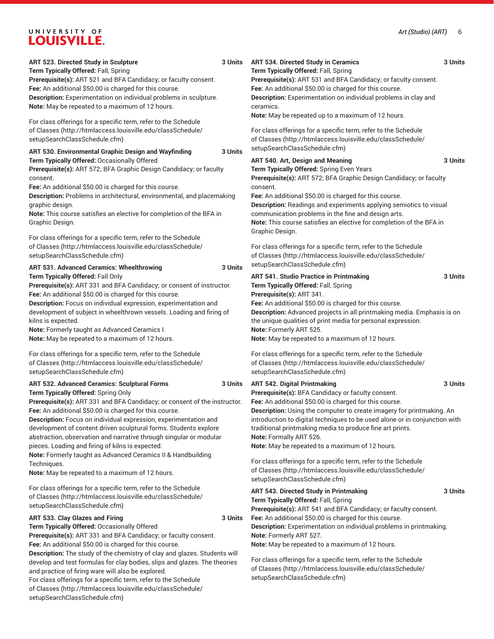[setupSearchClassSchedule.cfm\)](http://htmlaccess.louisville.edu/classSchedule/setupSearchClassSchedule.cfm)

| ART 523. Directed Study in Sculpture<br>Term Typically Offered: Fall, Spring<br>Prerequisite(s): ART 521 and BFA Candidacy; or faculty consent.<br>Fee: An additional \$50.00 is charged for this course.<br>Description: Experimentation on individual problems in sculpture.                                                                                                                                                                                                                                                                                                                                                 | 3 Units | ART 534. Directed Study in Ceramics<br>Term Typically Offered: Fall, Spring<br>Prerequisite(s): ART 531 and BFA Candidacy; or faculty consent.<br>Fee: An additional \$50.00 is charged for this course.<br>Description: Experimentation on individual problems in clay and                                                                                                                                                                                                                                                                                                            | 3 Units |
|--------------------------------------------------------------------------------------------------------------------------------------------------------------------------------------------------------------------------------------------------------------------------------------------------------------------------------------------------------------------------------------------------------------------------------------------------------------------------------------------------------------------------------------------------------------------------------------------------------------------------------|---------|----------------------------------------------------------------------------------------------------------------------------------------------------------------------------------------------------------------------------------------------------------------------------------------------------------------------------------------------------------------------------------------------------------------------------------------------------------------------------------------------------------------------------------------------------------------------------------------|---------|
| Note: May be repeated to a maximum of 12 hours.<br>For class offerings for a specific term, refer to the Schedule<br>of Classes (http://htmlaccess.louisville.edu/classSchedule/<br>setupSearchClassSchedule.cfm)                                                                                                                                                                                                                                                                                                                                                                                                              |         | ceramics.<br>Note: May be repeated up to a maximum of 12 hours.<br>For class offerings for a specific term, refer to the Schedule<br>of Classes (http://htmlaccess.louisville.edu/classSchedule/                                                                                                                                                                                                                                                                                                                                                                                       |         |
| ART 530. Environmental Graphic Design and Wayfinding<br>Term Typically Offered: Occasionally Offered<br>Prerequisite(s): ART 572; BFA Graphic Design Candidacy; or faculty<br>consent.<br>Fee: An additional \$50.00 is charged for this course.<br>Description: Problems in architectural, environmental, and placemaking<br>graphic design.<br>Note: This course satisfies an elective for completion of the BFA in<br>Graphic Design.<br>For class offerings for a specific term, refer to the Schedule                                                                                                                     | 3 Units | setupSearchClassSchedule.cfm)<br>ART 540. Art, Design and Meaning<br>Term Typically Offered: Spring Even Years<br>Prerequisite(s): ART 572; BFA Graphic Design Candidacy; or faculty<br>consent.<br>Fee: An additional \$50.00 is charged for this course.<br>Description: Readings and experiments applying semiotics to visual<br>communication problems in the fine and design arts.<br>Note: This course satisfies an elective for completion of the BFA in<br>Graphic Design.                                                                                                     | 3 Units |
| of Classes (http://htmlaccess.louisville.edu/classSchedule/<br>setupSearchClassSchedule.cfm)<br>ART 531. Advanced Ceramics: Wheelthrowing                                                                                                                                                                                                                                                                                                                                                                                                                                                                                      | 3 Units | For class offerings for a specific term, refer to the Schedule<br>of Classes (http://htmlaccess.louisville.edu/classSchedule/<br>setupSearchClassSchedule.cfm)                                                                                                                                                                                                                                                                                                                                                                                                                         |         |
| Term Typically Offered: Fall Only<br>Prerequisite(s): ART 331 and BFA Candidacy; or consent of instructor.<br>Fee: An additional \$50.00 is charged for this course.<br>Description: Focus on individual expression, experimentation and<br>development of subject in wheelthrown vessels. Loading and firing of<br>kilns is expected.<br>Note: Formerly taught as Advanced Ceramics I.<br>Note: May be repeated to a maximum of 12 hours.                                                                                                                                                                                     |         | <b>ART 541. Studio Practice in Printmaking</b><br>Term Typically Offered: Fall, Spring<br>Prerequisite(s): ART 341.<br>Fee: An additional \$50.00 is charged for this course.<br>Description: Advanced projects in all printmaking media. Emphasis is on<br>the unique qualities of print media for personal expression.<br>Note: Formerly ART 525.<br>Note: May be repeated to a maximum of 12 hours.                                                                                                                                                                                 | 3 Units |
| For class offerings for a specific term, refer to the Schedule<br>of Classes (http://htmlaccess.louisville.edu/classSchedule/<br>setupSearchClassSchedule.cfm)                                                                                                                                                                                                                                                                                                                                                                                                                                                                 |         | For class offerings for a specific term, refer to the Schedule<br>of Classes (http://htmlaccess.louisville.edu/classSchedule/<br>setupSearchClassSchedule.cfm)                                                                                                                                                                                                                                                                                                                                                                                                                         |         |
| ART 532. Advanced Ceramics: Sculptural Forms<br>Term Typically Offered: Spring Only<br>Prerequisite(s): ART 331 and BFA Candidacy; or consent of the instructor.<br>Fee: An additional \$50.00 is charged for this course.<br>Description: Focus on individual expression, experimentation and<br>development of content driven sculptural forms. Students explore<br>abstraction, observation and narrative through singular or modular<br>pieces. Loading and firing of kilns is expected.<br>Note: Formerly taught as Advanced Ceramics II & Handbuilding<br>Techniques.<br>Note: May be repeated to a maximum of 12 hours. | 3 Units | <b>ART 542. Digital Printmaking</b><br>Prerequisite(s): BFA Candidacy or faculty consent.<br>Fee: An additional \$50.00 is charged for this course.<br>Description: Using the computer to create imagery for printmaking. An<br>introduction to digital techniques to be used alone or in conjunction with<br>traditional printmaking media to produce fine art prints.<br>Note: Formally ART 526.<br>Note: May be repeated to a maximum of 12 hours.<br>For class offerings for a specific term, refer to the Schedule<br>of Classes (http://htmlaccess.louisville.edu/classSchedule/ | 3 Units |
| For class offerings for a specific term, refer to the Schedule<br>of Classes (http://htmlaccess.louisville.edu/classSchedule/<br>setupSearchClassSchedule.cfm)                                                                                                                                                                                                                                                                                                                                                                                                                                                                 |         | setupSearchClassSchedule.cfm)<br>ART 543. Directed Study in Printmaking<br>Term Typically Offered: Fall, Spring<br>Prerequisite(s): ART 541 and BFA Candidacy; or faculty consent.                                                                                                                                                                                                                                                                                                                                                                                                     | 3 Units |
| ART 533. Clay Glazes and Firing<br>Term Typically Offered: Occasionally Offered<br>Prerequisite(s): ART 331 and BFA Candidacy; or faculty consent.<br>Fee: An additional \$50.00 is charged for this course.                                                                                                                                                                                                                                                                                                                                                                                                                   | 3 Units | Fee: An additional \$50.00 is charged for this course.<br>Description: Experimentation on individual problems in printmaking.<br>Note: Formerly ART 527.<br>Note: May be repeated to a maximum of 12 hours.                                                                                                                                                                                                                                                                                                                                                                            |         |
| Description: The study of the chemistry of clay and glazes. Students will<br>develop and test formulas for clay bodies, slips and glazes. The theories<br>and practice of firing ware will also be explored.<br>For class offerings for a specific term, refer to the Schedule<br>of Classes (http://htmlaccess.louisville.edu/classSchedule/                                                                                                                                                                                                                                                                                  |         | For class offerings for a specific term, refer to the Schedule<br>of Classes (http://htmlaccess.louisville.edu/classSchedule/<br>setupSearchClassSchedule.cfm)                                                                                                                                                                                                                                                                                                                                                                                                                         |         |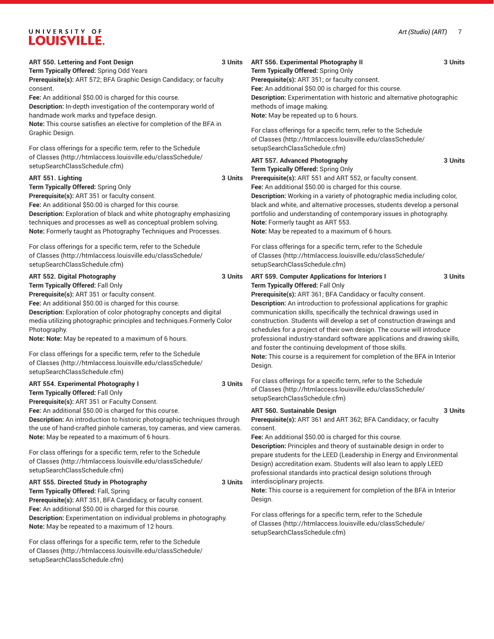[of Classes \(http://htmlaccess.louisville.edu/classSchedule/](http://htmlaccess.louisville.edu/classSchedule/setupSearchClassSchedule.cfm)

[setupSearchClassSchedule.cfm\)](http://htmlaccess.louisville.edu/classSchedule/setupSearchClassSchedule.cfm)

| ART 550. Lettering and Font Design<br>Term Typically Offered: Spring Odd Years                                                                      | 3 Units | ART 556. Experimental Photography II<br>Term Typically Offered: Spring Only                                                                      | 3 Units |
|-----------------------------------------------------------------------------------------------------------------------------------------------------|---------|--------------------------------------------------------------------------------------------------------------------------------------------------|---------|
| Prerequisite(s): ART 572; BFA Graphic Design Candidacy; or faculty                                                                                  |         | Prerequisite(s): ART 351; or faculty consent.                                                                                                    |         |
| consent.                                                                                                                                            |         | Fee: An additional \$50.00 is charged for this course.                                                                                           |         |
| Fee: An additional \$50.00 is charged for this course.                                                                                              |         | <b>Description:</b> Experimentation with historic and alternative photographic                                                                   |         |
| Description: In-depth investigation of the contemporary world of                                                                                    |         | methods of image making.                                                                                                                         |         |
| handmade work marks and typeface design.                                                                                                            |         | Note: May be repeated up to 6 hours.                                                                                                             |         |
| Note: This course satisfies an elective for completion of the BFA in                                                                                |         | For class offerings for a specific term, refer to the Schedule                                                                                   |         |
| Graphic Design.                                                                                                                                     |         | of Classes (http://htmlaccess.louisville.edu/classSchedule/                                                                                      |         |
| For class offerings for a specific term, refer to the Schedule                                                                                      |         | setupSearchClassSchedule.cfm)                                                                                                                    |         |
| of Classes (http://htmlaccess.louisville.edu/classSchedule/                                                                                         |         | ART 557. Advanced Photography                                                                                                                    | 3 Units |
| setupSearchClassSchedule.cfm)                                                                                                                       |         | Term Typically Offered: Spring Only                                                                                                              |         |
| ART 551. Lighting                                                                                                                                   | 3 Units | Prerequisite(s): ART 551 and ART 552, or faculty consent.                                                                                        |         |
| Term Typically Offered: Spring Only                                                                                                                 |         | Fee: An additional \$50.00 is charged for this course.                                                                                           |         |
| Prerequisite(s): ART 351 or faculty consent.                                                                                                        |         | Description: Working in a variety of photographic media including color,                                                                         |         |
| Fee: An additional \$50.00 is charged for this course.                                                                                              |         | black and white, and alternative processes, students develop a personal                                                                          |         |
| Description: Exploration of black and white photography emphasizing                                                                                 |         | portfolio and understanding of contemporary issues in photography.                                                                               |         |
| techniques and processes as well as conceptual problem solving.                                                                                     |         | Note: Formerly taught as ART 553.                                                                                                                |         |
| Note: Formerly taught as Photography Techniques and Processes.                                                                                      |         | Note: May be repeated to a maximum of 6 hours.                                                                                                   |         |
| For class offerings for a specific term, refer to the Schedule                                                                                      |         | For class offerings for a specific term, refer to the Schedule                                                                                   |         |
| of Classes (http://htmlaccess.louisville.edu/classSchedule/                                                                                         |         | of Classes (http://htmlaccess.louisville.edu/classSchedule/                                                                                      |         |
| setupSearchClassSchedule.cfm)                                                                                                                       |         | setupSearchClassSchedule.cfm)                                                                                                                    |         |
| ART 552. Digital Photography                                                                                                                        | 3 Units | ART 559. Computer Applications for Interiors I                                                                                                   | 3 Units |
| Term Typically Offered: Fall Only                                                                                                                   |         | Term Typically Offered: Fall Only                                                                                                                |         |
| Prerequisite(s): ART 351 or faculty consent.                                                                                                        |         | Prerequisite(s): ART 361; BFA Candidacy or faculty consent.                                                                                      |         |
| Fee: An additional \$50.00 is charged for this course.                                                                                              |         | <b>Description:</b> An introduction to professional applications for graphic                                                                     |         |
| Description: Exploration of color photography concepts and digital                                                                                  |         | communication skills, specifically the technical drawings used in                                                                                |         |
| media utilizing photographic principles and techniques. Formerly Color<br>Photography.                                                              |         | construction. Students will develop a set of construction drawings and<br>schedules for a project of their own design. The course will introduce |         |
| Note: Note: May be repeated to a maximum of 6 hours.                                                                                                |         | professional industry-standard software applications and drawing skills,                                                                         |         |
|                                                                                                                                                     |         | and foster the continuing development of those skills.                                                                                           |         |
| For class offerings for a specific term, refer to the Schedule                                                                                      |         | Note: This course is a requirement for completion of the BFA in Interior                                                                         |         |
| of Classes (http://htmlaccess.louisville.edu/classSchedule/                                                                                         |         | Design.                                                                                                                                          |         |
| setupSearchClassSchedule.cfm)                                                                                                                       |         |                                                                                                                                                  |         |
| ART 554. Experimental Photography I                                                                                                                 | 3 Units | For class offerings for a specific term, refer to the Schedule<br>of Classes (http://htmlaccess.louisville.edu/classSchedule/                    |         |
| Term Typically Offered: Fall Only                                                                                                                   |         | setupSearchClassSchedule.cfm)                                                                                                                    |         |
| Prerequisite(s): ART 351 or Faculty Consent.                                                                                                        |         |                                                                                                                                                  |         |
| Fee: An additional \$50.00 is charged for this course.                                                                                              |         | ART 560. Sustainable Design                                                                                                                      | 3 Units |
| Description: An introduction to historic photographic techniques through<br>the use of hand-crafted pinhole cameras, toy cameras, and view cameras. |         | Prerequisite(s): ART 361 and ART 362; BFA Candidacy; or faculty<br>consent.                                                                      |         |
| Note: May be repeated to a maximum of 6 hours.                                                                                                      |         | Fee: An additional \$50.00 is charged for this course.                                                                                           |         |
|                                                                                                                                                     |         | Description: Principles and theory of sustainable design in order to                                                                             |         |
| For class offerings for a specific term, refer to the Schedule                                                                                      |         | prepare students for the LEED (Leadership in Energy and Environmental                                                                            |         |
| of Classes (http://htmlaccess.louisville.edu/classSchedule/                                                                                         |         | Design) accreditation exam. Students will also learn to apply LEED                                                                               |         |
| setupSearchClassSchedule.cfm)                                                                                                                       |         | professional standards into practical design solutions through                                                                                   |         |
| ART 555. Directed Study in Photography                                                                                                              | 3 Units | interdisciplinary projects.                                                                                                                      |         |
| Term Typically Offered: Fall, Spring                                                                                                                |         | Note: This course is a requirement for completion of the BFA in Interior                                                                         |         |
| Prerequisite(s): ART 351, BFA Candidacy, or faculty consent.                                                                                        |         | Design.                                                                                                                                          |         |
| Fee: An additional \$50.00 is charged for this course.                                                                                              |         | For class offerings for a specific term, refer to the Schedule                                                                                   |         |
| Description: Experimentation on individual problems in photography.                                                                                 |         | of Classes (http://htmlaccess.louisville.edu/classSchedule/                                                                                      |         |
| Note: May be repeated to a maximum of 12 hours.                                                                                                     |         | setupSearchClassSchedule.cfm)                                                                                                                    |         |
| For class offerings for a specific term, refer to the Schedule                                                                                      |         |                                                                                                                                                  |         |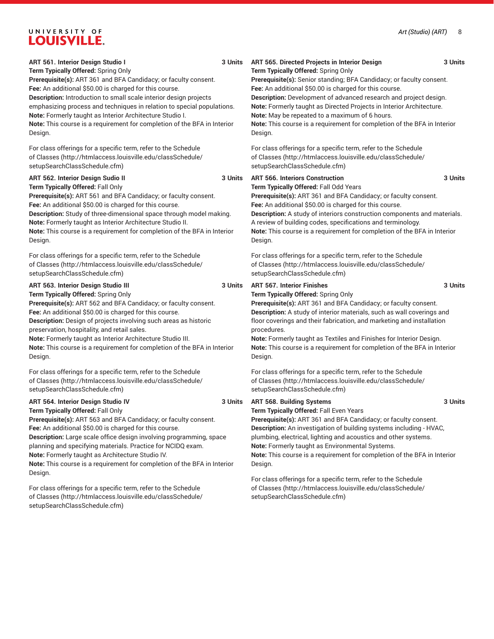| ART 561. Interior Design Studio I<br>Term Typically Offered: Spring Only<br>Prerequisite(s): ART 361 and BFA Candidacy; or faculty consent.<br>Fee: An additional \$50.00 is charged for this course.<br>Description: Introduction to small scale interior design projects<br>emphasizing process and techniques in relation to special populations.<br>Note: Formerly taught as Interior Architecture Studio I.<br>Note: This course is a requirement for completion of the BFA in Interior<br>Design. | 3 Units | ART 565. Directed Projects in Interior Design<br>Term Typically Offered: Spring Only<br>Prerequisite(s): Senior standing; BFA Candidacy; or faculty consent.<br>Fee: An additional \$50.00 is charged for this course.<br>Description: Development of advanced research and project design.<br>Note: Formerly taught as Directed Projects in Interior Architecture.<br>Note: May be repeated to a maximum of 6 hours.<br>Note: This course is a requirement for completion of the BFA in Interior<br>Design. | 3 Units |
|---------------------------------------------------------------------------------------------------------------------------------------------------------------------------------------------------------------------------------------------------------------------------------------------------------------------------------------------------------------------------------------------------------------------------------------------------------------------------------------------------------|---------|--------------------------------------------------------------------------------------------------------------------------------------------------------------------------------------------------------------------------------------------------------------------------------------------------------------------------------------------------------------------------------------------------------------------------------------------------------------------------------------------------------------|---------|
| For class offerings for a specific term, refer to the Schedule<br>of Classes (http://htmlaccess.louisville.edu/classSchedule/<br>setupSearchClassSchedule.cfm)                                                                                                                                                                                                                                                                                                                                          |         | For class offerings for a specific term, refer to the Schedule<br>of Classes (http://htmlaccess.louisville.edu/classSchedule/<br>setupSearchClassSchedule.cfm)                                                                                                                                                                                                                                                                                                                                               |         |
| ART 562. Interior Design Sudio II<br>Term Typically Offered: Fall Only<br>Prerequisite(s): ART 561 and BFA Candidacy; or faculty consent.<br>Fee: An additional \$50.00 is charged for this course.<br>Description: Study of three-dimensional space through model making.<br>Note: Formerly taught as Interior Architecture Studio II.<br>Note: This course is a requirement for completion of the BFA in Interior<br>Design.                                                                          | 3 Units | <b>ART 566. Interiors Construction</b><br>Term Typically Offered: Fall Odd Years<br>Prerequisite(s): ART 361 and BFA Candidacy; or faculty consent.<br>Fee: An additional \$50.00 is charged for this course.<br>Description: A study of interiors construction components and materials.<br>A review of building codes, specifications and terminology.<br>Note: This course is a requirement for completion of the BFA in Interior<br>Design.                                                              | 3 Units |
| For class offerings for a specific term, refer to the Schedule<br>of Classes (http://htmlaccess.louisville.edu/classSchedule/<br>setupSearchClassSchedule.cfm)                                                                                                                                                                                                                                                                                                                                          |         | For class offerings for a specific term, refer to the Schedule<br>of Classes (http://htmlaccess.louisville.edu/classSchedule/<br>setupSearchClassSchedule.cfm)                                                                                                                                                                                                                                                                                                                                               |         |
| ART 563. Interior Design Studio III<br>Term Typically Offered: Spring Only<br>Prerequisite(s): ART 562 and BFA Candidacy; or faculty consent.<br>Fee: An additional \$50.00 is charged for this course.<br>Description: Design of projects involving such areas as historic<br>preservation, hospitality, and retail sales.<br>Note: Formerly taught as Interior Architecture Studio III.<br>Note: This course is a requirement for completion of the BFA in Interior<br>Design.                        | 3 Units | <b>ART 567. Interior Finishes</b><br>Term Typically Offered: Spring Only<br>Prerequisite(s): ART 361 and BFA Candidacy; or faculty consent.<br>Description: A study of interior materials, such as wall coverings and<br>floor coverings and their fabrication, and marketing and installation<br>procedures.<br>Note: Formerly taught as Textiles and Finishes for Interior Design.<br>Note: This course is a requirement for completion of the BFA in Interior<br>Design.                                  | 3 Units |
| For class offerings for a specific term, refer to the Schedule<br>of Classes (http://htmlaccess.louisville.edu/classSchedule/<br>setupSearchClassSchedule.cfm)                                                                                                                                                                                                                                                                                                                                          |         | For class offerings for a specific term, refer to the Schedule<br>of Classes (http://htmlaccess.louisville.edu/classSchedule/<br>setupSearchClassSchedule.cfm)                                                                                                                                                                                                                                                                                                                                               |         |
| <b>ART 564. Interior Design Studio IV</b><br>Term Typically Offered: Fall Only<br>Prerequisite(s): ART 563 and BFA Candidacy; or faculty consent.<br>Fee: An additional \$50.00 is charged for this course.<br>Description: Large scale office design involving programming, space<br>planning and specifying materials. Practice for NCIDQ exam.<br>Note: Formerly taught as Architecture Studio IV.<br>Note: This course is a requirement for completion of the BFA in Interior<br>Design.            | 3 Units | ART 568. Building Systems<br>Term Typically Offered: Fall Even Years<br>Prerequisite(s): ART 361 and BFA Candidacy; or faculty consent.<br>Description: An investigation of building systems including - HVAC,<br>plumbing, electrical, lighting and acoustics and other systems.<br>Note: Formerly taught as Environmental Systems.<br>Note: This course is a requirement for completion of the BFA in Interior<br>Design.                                                                                  | 3 Units |
| For class offerings for a specific term, refer to the Schedule<br>of Classes (http://htmlaccess.louisville.edu/classSchedule/<br>setupSearchClassSchedule.cfm)                                                                                                                                                                                                                                                                                                                                          |         | For class offerings for a specific term, refer to the Schedule<br>of Classes (http://htmlaccess.louisville.edu/classSchedule/<br>setupSearchClassSchedule.cfm)                                                                                                                                                                                                                                                                                                                                               |         |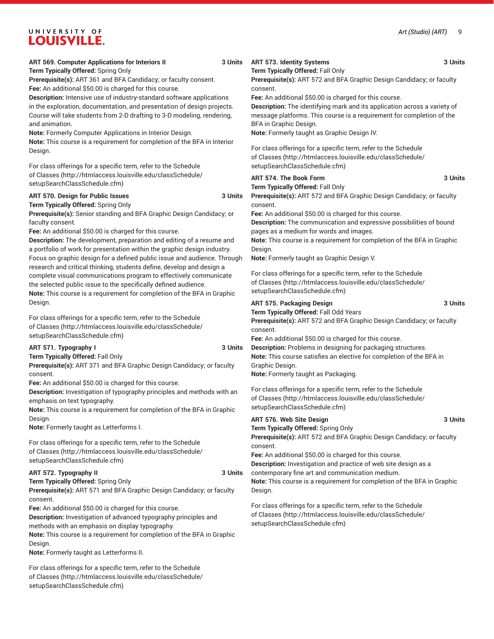#### *Art (Studio) (ART)* 9

# UNIVERSITY OF **LOUISVILLE.**

#### **ART 569. Computer Applications for Interiors II 3 Units**

**Term Typically Offered:** Spring Only

**Prerequisite(s):** ART 361 and BFA Candidacy; or faculty consent. **Fee:** An additional \$50.00 is charged for this course.

**Description:** Intensive use of industry-standard software applications in the exploration, documentation, and presentation of design projects. Course will take students from 2-D drafting to 3-D modeling, rendering, and animation.

**Note:** Formerly Computer Applications in Interior Design. **Note:** This course is a requirement for completion of the BFA in Interior Design.

For class offerings for a specific term, refer to the [Schedule](http://htmlaccess.louisville.edu/classSchedule/setupSearchClassSchedule.cfm) [of Classes \(http://htmlaccess.louisville.edu/classSchedule/](http://htmlaccess.louisville.edu/classSchedule/setupSearchClassSchedule.cfm) [setupSearchClassSchedule.cfm\)](http://htmlaccess.louisville.edu/classSchedule/setupSearchClassSchedule.cfm)

#### **ART 570. Design for Public Issues 3 Units Term Typically Offered:** Spring Only

**Prerequisite(s):** Senior standing and BFA Graphic Design Candidacy; or faculty consent.

**Fee:** An additional \$50.00 is charged for this course.

**Description:** The development, preparation and editing of a resume and a portfolio of work for presentation within the graphic design industry. Focus on graphic design for a defined public issue and audience. Through research and critical thinking, students define, develop and design a complete visual communications program to effectively communicate the selected public issue to the specifically defined audience. **Note:** This course is a requirement for completion of the BFA in Graphic Design.

For class offerings for a specific term, refer to the [Schedule](http://htmlaccess.louisville.edu/classSchedule/setupSearchClassSchedule.cfm) [of Classes \(http://htmlaccess.louisville.edu/classSchedule/](http://htmlaccess.louisville.edu/classSchedule/setupSearchClassSchedule.cfm) [setupSearchClassSchedule.cfm\)](http://htmlaccess.louisville.edu/classSchedule/setupSearchClassSchedule.cfm)

#### **ART 571. Typography I 3 Units**

**Term Typically Offered:** Fall Only

**Prerequisite(s):** ART 371 and BFA Graphic Design Candidacy; or faculty consent.

**Fee:** An additional \$50.00 is charged for this course.

**Description:** Investigation of typography principles and methods with an emphasis on text typography.

**Note:** This course is a requirement for completion of the BFA in Graphic Design.

**Note:** Formerly taught as Letterforms I.

For class offerings for a specific term, refer to the [Schedule](http://htmlaccess.louisville.edu/classSchedule/setupSearchClassSchedule.cfm) [of Classes \(http://htmlaccess.louisville.edu/classSchedule/](http://htmlaccess.louisville.edu/classSchedule/setupSearchClassSchedule.cfm) [setupSearchClassSchedule.cfm\)](http://htmlaccess.louisville.edu/classSchedule/setupSearchClassSchedule.cfm)

#### **ART 572. Typography II 3 Units**

**Term Typically Offered:** Spring Only **Prerequisite(s):** ART 571 and BFA Graphic Design Candidacy; or faculty consent.

**Fee:** An additional \$50.00 is charged for this course.

**Description:** Investigation of advanced typography principles and methods with an emphasis on display typography.

**Note:** This course is a requirement for completion of the BFA in Graphic Design.

**Note:** Formerly taught as Letterforms II.

For class offerings for a specific term, refer to the [Schedule](http://htmlaccess.louisville.edu/classSchedule/setupSearchClassSchedule.cfm) [of Classes \(http://htmlaccess.louisville.edu/classSchedule/](http://htmlaccess.louisville.edu/classSchedule/setupSearchClassSchedule.cfm) [setupSearchClassSchedule.cfm\)](http://htmlaccess.louisville.edu/classSchedule/setupSearchClassSchedule.cfm)

### **ART 573. Identity Systems 3 Units**

**Term Typically Offered:** Fall Only

**Prerequisite(s):** ART 572 and BFA Graphic Design Candidacy; or faculty consent.

**Fee:** An additional \$50.00 is charged for this course.

**Description:** The identifying mark and its application across a variety of message platforms. This course is a requirement for completion of the BFA in Graphic Design.

**Note:** Formerly taught as Graphic Design IV.

For class offerings for a specific term, refer to the [Schedule](http://htmlaccess.louisville.edu/classSchedule/setupSearchClassSchedule.cfm) [of Classes](http://htmlaccess.louisville.edu/classSchedule/setupSearchClassSchedule.cfm) ([http://htmlaccess.louisville.edu/classSchedule/](http://htmlaccess.louisville.edu/classSchedule/setupSearchClassSchedule.cfm) [setupSearchClassSchedule.cfm\)](http://htmlaccess.louisville.edu/classSchedule/setupSearchClassSchedule.cfm)

### **ART 574. The Book Form 3 Units**

**Term Typically Offered:** Fall Only

**Prerequisite(s):** ART 572 and BFA Graphic Design Candidacy; or faculty consent.

**Fee:** An additional \$50.00 is charged for this course. **Description:** The communication and expressive possibilities of bound pages as a medium for words and images. **Note:** This course is a requirement for completion of the BFA in Graphic Design.

**Note:** Formerly taught as Graphic Design V.

For class offerings for a specific term, refer to the [Schedule](http://htmlaccess.louisville.edu/classSchedule/setupSearchClassSchedule.cfm) [of Classes](http://htmlaccess.louisville.edu/classSchedule/setupSearchClassSchedule.cfm) ([http://htmlaccess.louisville.edu/classSchedule/](http://htmlaccess.louisville.edu/classSchedule/setupSearchClassSchedule.cfm) [setupSearchClassSchedule.cfm\)](http://htmlaccess.louisville.edu/classSchedule/setupSearchClassSchedule.cfm)

#### **ART 575. Packaging Design 3 Units**

**Term Typically Offered:** Fall Odd Years **Prerequisite(s):** ART 572 and BFA Graphic Design Candidacy; or faculty consent.

**Fee:** An additional \$50.00 is charged for this course. **Description:** Problems in designing for packaging structures. **Note:** This course satisfies an elective for completion of the BFA in Graphic Design.

**Note:** Formerly taught as Packaging.

For class offerings for a specific term, refer to the [Schedule](http://htmlaccess.louisville.edu/classSchedule/setupSearchClassSchedule.cfm) [of Classes](http://htmlaccess.louisville.edu/classSchedule/setupSearchClassSchedule.cfm) ([http://htmlaccess.louisville.edu/classSchedule/](http://htmlaccess.louisville.edu/classSchedule/setupSearchClassSchedule.cfm) [setupSearchClassSchedule.cfm\)](http://htmlaccess.louisville.edu/classSchedule/setupSearchClassSchedule.cfm)

### **ART 576. Web Site Design 3 Units Term Typically Offered:** Spring Only

**Prerequisite(s):** ART 572 and BFA Graphic Design Candidacy; or faculty consent.

**Fee:** An additional \$50.00 is charged for this course. **Description:** Investigation and practice of web site design as a contemporary fine art and communication medium.

**Note:** This course is a requirement for completion of the BFA in Graphic Design.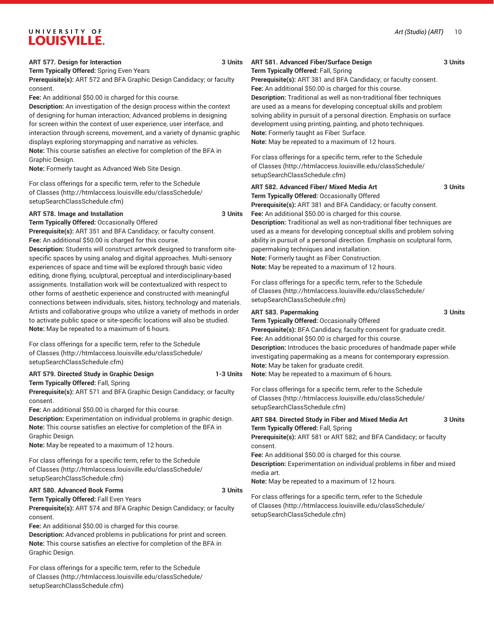**Term Typically Offered:** Spring Even Years

**Prerequisite(s):** ART 572 and BFA Graphic Design Candidacy; or faculty consent.

**Fee:** An additional \$50.00 is charged for this course.

**Description:** An investigation of the design process within the context of designing for human interaction; Advanced problems in designing for screen within the context of user experience, user interface, and interaction through screens, movement, and a variety of dynamic graphic displays exploring storymapping and narrative as vehicles.

**Note:** This course satisfies an elective for completion of the BFA in Graphic Design.

**Note:** Formerly taught as Advanced Web Site Design.

For class offerings for a specific term, refer to the [Schedule](http://htmlaccess.louisville.edu/classSchedule/setupSearchClassSchedule.cfm) [of Classes \(http://htmlaccess.louisville.edu/classSchedule/](http://htmlaccess.louisville.edu/classSchedule/setupSearchClassSchedule.cfm) [setupSearchClassSchedule.cfm\)](http://htmlaccess.louisville.edu/classSchedule/setupSearchClassSchedule.cfm)

#### **ART 578. Image and Installation 3 Units**

**Term Typically Offered:** Occasionally Offered **Prerequisite(s):** ART 351 and BFA Candidacy; or faculty consent. **Fee:** An additional \$50.00 is charged for this course.

**Description:** Students will construct artwork designed to transform sitespecific spaces by using analog and digital approaches. Multi-sensory experiences of space and time will be explored through basic video editing, drone flying, sculptural, perceptual and interdisciplinary-based assignments. Installation work will be contextualized with respect to other forms of aesthetic experience and constructed with meaningful connections between individuals, sites, history, technology and materials. Artists and collaborative groups who utilize a variety of methods in order to activate public space or site-specific locations will also be studied. **Note:** May be repeated to a maximum of 6 hours.

For class offerings for a specific term, refer to the [Schedule](http://htmlaccess.louisville.edu/classSchedule/setupSearchClassSchedule.cfm) [of Classes \(http://htmlaccess.louisville.edu/classSchedule/](http://htmlaccess.louisville.edu/classSchedule/setupSearchClassSchedule.cfm) [setupSearchClassSchedule.cfm\)](http://htmlaccess.louisville.edu/classSchedule/setupSearchClassSchedule.cfm)

#### **ART 579. Directed Study in Graphic Design 1-3 Units Term Typically Offered:** Fall, Spring

**Prerequisite(s):** ART 571 and BFA Graphic Design Candidacy; or faculty consent.

**Fee:** An additional \$50.00 is charged for this course.

**Description:** Experimentation on individual problems in graphic design. **Note:** This course satisfies an elective for completion of the BFA in Graphic Design.

**Note:** May be repeated to a maximum of 12 hours.

For class offerings for a specific term, refer to the [Schedule](http://htmlaccess.louisville.edu/classSchedule/setupSearchClassSchedule.cfm) [of Classes \(http://htmlaccess.louisville.edu/classSchedule/](http://htmlaccess.louisville.edu/classSchedule/setupSearchClassSchedule.cfm) [setupSearchClassSchedule.cfm\)](http://htmlaccess.louisville.edu/classSchedule/setupSearchClassSchedule.cfm)

#### **ART 580. Advanced Book Forms 3 Units**

**Term Typically Offered:** Fall Even Years

**Prerequisite(s):** ART 574 and BFA Graphic Design Candidacy; or faculty consent.

**Fee:** An additional \$50.00 is charged for this course.

**Description:** Advanced problems in publications for print and screen. **Note:** This course satisfies an elective for completion of the BFA in Graphic Design.

For class offerings for a specific term, refer to the [Schedule](http://htmlaccess.louisville.edu/classSchedule/setupSearchClassSchedule.cfm) [of Classes \(http://htmlaccess.louisville.edu/classSchedule/](http://htmlaccess.louisville.edu/classSchedule/setupSearchClassSchedule.cfm) [setupSearchClassSchedule.cfm\)](http://htmlaccess.louisville.edu/classSchedule/setupSearchClassSchedule.cfm)

#### **ART 581. Advanced Fiber/Surface Design 3 Units**

**Term Typically Offered:** Fall, Spring

**Prerequisite(s):** ART 381 and BFA Candidacy; or faculty consent. **Fee:** An additional \$50.00 is charged for this course.

**Description:** Traditional as well as non-traditional fiber techniques are used as a means for developing conceptual skills and problem solving ability in pursuit of a personal direction. Emphasis on surface development using printing, painting, and photo techniques. **Note:** Formerly taught as Fiber: Surface. **Note:** May be repeated to a maximum of 12 hours.

For class offerings for a specific term, refer to the [Schedule](http://htmlaccess.louisville.edu/classSchedule/setupSearchClassSchedule.cfm) [of Classes](http://htmlaccess.louisville.edu/classSchedule/setupSearchClassSchedule.cfm) ([http://htmlaccess.louisville.edu/classSchedule/](http://htmlaccess.louisville.edu/classSchedule/setupSearchClassSchedule.cfm) [setupSearchClassSchedule.cfm\)](http://htmlaccess.louisville.edu/classSchedule/setupSearchClassSchedule.cfm)

#### **ART 582. Advanced Fiber/ Mixed Media Art 3 Units Term Typically Offered:** Occasionally Offered

**Prerequisite(s):** ART 381 and BFA Candidacy; or faculty consent. **Fee:** An additional \$50.00 is charged for this course. **Description:** Traditional as well as non-traditional fiber techniques are used as a means for developing conceptual skills and problem solving

ability in pursuit of a personal direction. Emphasis on sculptural form, papermaking techniques and installation. **Note:** Formerly taught as Fiber: Construction.

**Note:** May be repeated to a maximum of 12 hours.

For class offerings for a specific term, refer to the [Schedule](http://htmlaccess.louisville.edu/classSchedule/setupSearchClassSchedule.cfm) [of Classes](http://htmlaccess.louisville.edu/classSchedule/setupSearchClassSchedule.cfm) ([http://htmlaccess.louisville.edu/classSchedule/](http://htmlaccess.louisville.edu/classSchedule/setupSearchClassSchedule.cfm) [setupSearchClassSchedule.cfm\)](http://htmlaccess.louisville.edu/classSchedule/setupSearchClassSchedule.cfm)

#### **ART 583. Papermaking 3 Units**

**Term Typically Offered:** Occasionally Offered **Prerequisite(s):** BFA Candidacy, faculty consent for graduate credit. **Fee:** An additional \$50.00 is charged for this course. **Description:** Introduces the basic procedures of handmade paper while investigating papermaking as a means for contemporary expression. **Note:** May be taken for graduate credit. **Note:** May be repeated to a maximum of 6 hours.

For class offerings for a specific term, refer to the [Schedule](http://htmlaccess.louisville.edu/classSchedule/setupSearchClassSchedule.cfm) [of Classes](http://htmlaccess.louisville.edu/classSchedule/setupSearchClassSchedule.cfm) ([http://htmlaccess.louisville.edu/classSchedule/](http://htmlaccess.louisville.edu/classSchedule/setupSearchClassSchedule.cfm) [setupSearchClassSchedule.cfm\)](http://htmlaccess.louisville.edu/classSchedule/setupSearchClassSchedule.cfm)

#### **ART 584. Directed Study in Fiber and Mixed Media Art 3 Units Term Typically Offered:** Fall, Spring **Prerequisite(s):** ART 581 or ART 582; and BFA Candidacy; or faculty consent.

**Fee:** An additional \$50.00 is charged for this course. **Description:** Experimentation on individual problems in fiber and mixed media art.

**Note:** May be repeated to a maximum of 12 hours.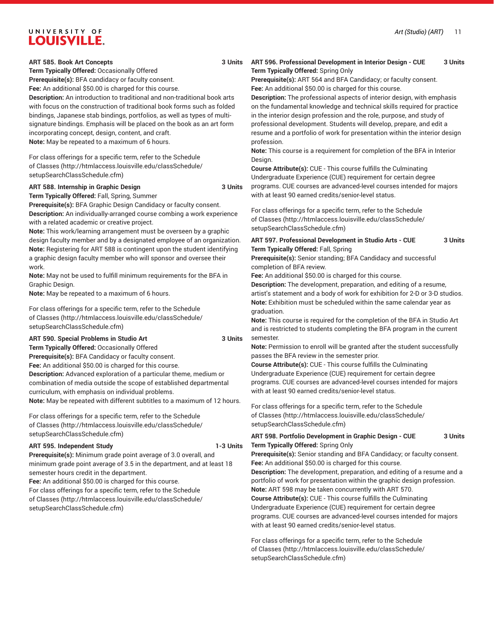**ART 585. Book Art Concepts 3 Units**

**Term Typically Offered:** Occasionally Offered

**Prerequisite(s):** BFA candidacy or faculty consent.

**Fee:** An additional \$50.00 is charged for this course.

**Description:** An introduction to traditional and non-traditional book arts with focus on the construction of traditional book forms such as folded bindings, Japanese stab bindings, portfolios, as well as types of multisignature bindings. Emphasis will be placed on the book as an art form incorporating concept, design, content, and craft. **Note:** May be repeated to a maximum of 6 hours.

For class offerings for a specific term, refer to the [Schedule](http://htmlaccess.louisville.edu/classSchedule/setupSearchClassSchedule.cfm) [of Classes \(http://htmlaccess.louisville.edu/classSchedule/](http://htmlaccess.louisville.edu/classSchedule/setupSearchClassSchedule.cfm) [setupSearchClassSchedule.cfm\)](http://htmlaccess.louisville.edu/classSchedule/setupSearchClassSchedule.cfm)

#### **ART 588. Internship in Graphic Design 3 Units**

**Term Typically Offered:** Fall, Spring, Summer **Prerequisite(s):** BFA Graphic Design Candidacy or faculty consent.

**Description:** An individually-arranged course combing a work experience with a related academic or creative project.

**Note:** This work/learning arrangement must be overseen by a graphic design faculty member and by a designated employee of an organization. **Note:** Registering for ART 588 is contingent upon the student identifying a graphic design faculty member who will sponsor and oversee their work.

**Note:** May not be used to fulfill minimum requirements for the BFA in Graphic Design.

**Note:** May be repeated to a maximum of 6 hours.

For class offerings for a specific term, refer to the [Schedule](http://htmlaccess.louisville.edu/classSchedule/setupSearchClassSchedule.cfm) [of Classes \(http://htmlaccess.louisville.edu/classSchedule/](http://htmlaccess.louisville.edu/classSchedule/setupSearchClassSchedule.cfm) [setupSearchClassSchedule.cfm\)](http://htmlaccess.louisville.edu/classSchedule/setupSearchClassSchedule.cfm)

**ART 590. Special Problems in Studio Art 3 Units Term Typically Offered:** Occasionally Offered **Prerequisite(s):** BFA Candidacy or faculty consent. **Fee:** An additional \$50.00 is charged for this course. **Description:** Advanced exploration of a particular theme, medium or combination of media outside the scope of established departmental curriculum, with emphasis on individual problems. **Note:** May be repeated with different subtitles to a maximum of 12 hours.

For class offerings for a specific term, refer to the [Schedule](http://htmlaccess.louisville.edu/classSchedule/setupSearchClassSchedule.cfm) [of Classes \(http://htmlaccess.louisville.edu/classSchedule/](http://htmlaccess.louisville.edu/classSchedule/setupSearchClassSchedule.cfm) [setupSearchClassSchedule.cfm\)](http://htmlaccess.louisville.edu/classSchedule/setupSearchClassSchedule.cfm)

#### **ART 595. Independent Study 1-3 Units**

**Prerequisite(s):** Minimum grade point average of 3.0 overall, and minimum grade point average of 3.5 in the department, and at least 18 semester hours credit in the department.

**Fee:** An additional \$50.00 is charged for this course.

For class offerings for a specific term, refer to the [Schedule](http://htmlaccess.louisville.edu/classSchedule/setupSearchClassSchedule.cfm) [of Classes \(http://htmlaccess.louisville.edu/classSchedule/](http://htmlaccess.louisville.edu/classSchedule/setupSearchClassSchedule.cfm) [setupSearchClassSchedule.cfm\)](http://htmlaccess.louisville.edu/classSchedule/setupSearchClassSchedule.cfm)

#### **ART 596. Professional Development in Interior Design - CUE 3 Units Term Typically Offered:** Spring Only

**Prerequisite(s):** ART 564 and BFA Candidacy; or faculty consent. **Fee:** An additional \$50.00 is charged for this course.

**Description:** The professional aspects of interior design, with emphasis on the fundamental knowledge and technical skills required for practice in the interior design profession and the role, purpose, and study of professional development. Students will develop, prepare, and edit a resume and a portfolio of work for presentation within the interior design profession.

**Note:** This course is a requirement for completion of the BFA in Interior Design.

**Course Attribute(s):** CUE - This course fulfills the Culminating Undergraduate Experience (CUE) requirement for certain degree programs. CUE courses are advanced-level courses intended for majors with at least 90 earned credits/senior-level status.

For class offerings for a specific term, refer to the [Schedule](http://htmlaccess.louisville.edu/classSchedule/setupSearchClassSchedule.cfm) [of Classes](http://htmlaccess.louisville.edu/classSchedule/setupSearchClassSchedule.cfm) ([http://htmlaccess.louisville.edu/classSchedule/](http://htmlaccess.louisville.edu/classSchedule/setupSearchClassSchedule.cfm) [setupSearchClassSchedule.cfm\)](http://htmlaccess.louisville.edu/classSchedule/setupSearchClassSchedule.cfm)

#### **ART 597. Professional Development in Studio Arts - CUE 3 Units Term Typically Offered:** Fall, Spring

**Prerequisite(s):** Senior standing; BFA Candidacy and successful completion of BFA review.

**Fee:** An additional \$50.00 is charged for this course.

**Description:** The development, preparation, and editing of a resume, artist's statement and a body of work for exhibition for 2-D or 3-D studios. **Note:** Exhibition must be scheduled within the same calendar year as graduation.

**Note:** This course is required for the completion of the BFA in Studio Art and is restricted to students completing the BFA program in the current semester.

**Note:** Permission to enroll will be granted after the student successfully passes the BFA review in the semester prior.

**Course Attribute(s):** CUE - This course fulfills the Culminating Undergraduate Experience (CUE) requirement for certain degree programs. CUE courses are advanced-level courses intended for majors with at least 90 earned credits/senior-level status.

For class offerings for a specific term, refer to the [Schedule](http://htmlaccess.louisville.edu/classSchedule/setupSearchClassSchedule.cfm) [of Classes](http://htmlaccess.louisville.edu/classSchedule/setupSearchClassSchedule.cfm) ([http://htmlaccess.louisville.edu/classSchedule/](http://htmlaccess.louisville.edu/classSchedule/setupSearchClassSchedule.cfm) [setupSearchClassSchedule.cfm\)](http://htmlaccess.louisville.edu/classSchedule/setupSearchClassSchedule.cfm)

#### **ART 598. Portfolio Development in Graphic Design - CUE 3 Units Term Typically Offered:** Spring Only

**Prerequisite(s):** Senior standing and BFA Candidacy; or faculty consent. **Fee:** An additional \$50.00 is charged for this course.

**Description:** The development, preparation, and editing of a resume and a portfolio of work for presentation within the graphic design profession. **Note:** ART 598 may be taken concurrently with ART 570.

**Course Attribute(s):** CUE - This course fulfills the Culminating Undergraduate Experience (CUE) requirement for certain degree programs. CUE courses are advanced-level courses intended for majors with at least 90 earned credits/senior-level status.